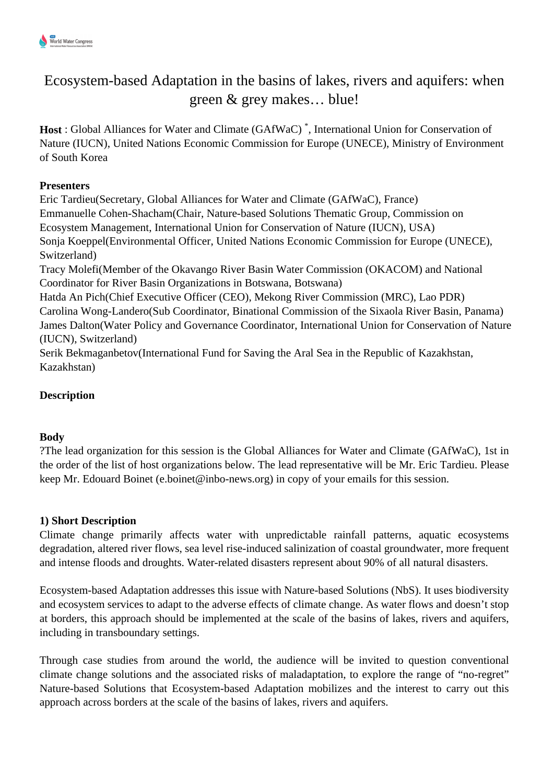# Ecosystem-based Adaptation in the basins of lakes, rivers and aquifers: when green & grey makes… blue!

**Host** : Global Alliances for Water and Climate (GAfWaC) \* , International Union for Conservation of Nature (IUCN), United Nations Economic Commission for Europe (UNECE), Ministry of Environment of South Korea

# **Presenters**

Eric Tardieu(Secretary, Global Alliances for Water and Climate (GAfWaC), France) Emmanuelle Cohen-Shacham(Chair, Nature-based Solutions Thematic Group, Commission on Ecosystem Management, International Union for Conservation of Nature (IUCN), USA) Sonja Koeppel(Environmental Officer, United Nations Economic Commission for Europe (UNECE), Switzerland) Tracy Molefi(Member of the Okavango River Basin Water Commission (OKACOM) and National Coordinator for River Basin Organizations in Botswana, Botswana) Hatda An Pich(Chief Executive Officer (CEO), Mekong River Commission (MRC), Lao PDR) Carolina Wong-Landero(Sub Coordinator, Binational Commission of the Sixaola River Basin, Panama) James Dalton(Water Policy and Governance Coordinator, International Union for Conservation of Nature (IUCN), Switzerland) Serik Bekmaganbetov(International Fund for Saving the Aral Sea in the Republic of Kazakhstan, Kazakhstan)

# **Description**

# **Body**

?The lead organization for this session is the Global Alliances for Water and Climate (GAfWaC), 1st in the order of the list of host organizations below. The lead representative will be Mr. Eric Tardieu. Please keep Mr. Edouard Boinet (e.boinet@inbo-news.org) in copy of your emails for this session.

# **1) Short Description**

Climate change primarily affects water with unpredictable rainfall patterns, aquatic ecosystems degradation, altered river flows, sea level rise-induced salinization of coastal groundwater, more frequent and intense floods and droughts. Water-related disasters represent about 90% of all natural disasters.

Ecosystem-based Adaptation addresses this issue with Nature-based Solutions (NbS). It uses biodiversity and ecosystem services to adapt to the adverse effects of climate change. As water flows and doesn't stop at borders, this approach should be implemented at the scale of the basins of lakes, rivers and aquifers, including in transboundary settings.

Through case studies from around the world, the audience will be invited to question conventional climate change solutions and the associated risks of maladaptation, to explore the range of "no-regret" Nature-based Solutions that Ecosystem-based Adaptation mobilizes and the interest to carry out this approach across borders at the scale of the basins of lakes, rivers and aquifers.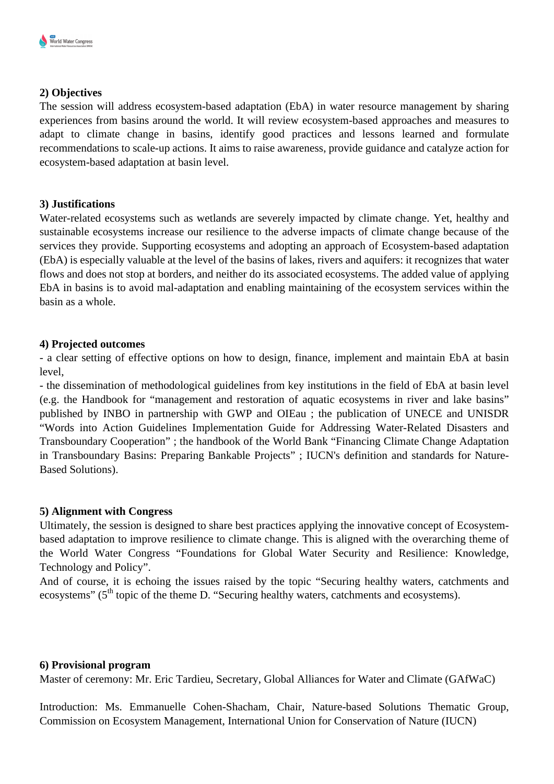#### **2) Objectives**

The session will address ecosystem-based adaptation (EbA) in water resource management by sharing experiences from basins around the world. It will review ecosystem-based approaches and measures to adapt to climate change in basins, identify good practices and lessons learned and formulate recommendations to scale-up actions. It aims to raise awareness, provide guidance and catalyze action for ecosystem-based adaptation at basin level.

#### **3) Justifications**

Water-related ecosystems such as wetlands are severely impacted by climate change. Yet, healthy and sustainable ecosystems increase our resilience to the adverse impacts of climate change because of the services they provide. Supporting ecosystems and adopting an approach of Ecosystem-based adaptation (EbA) is especially valuable at the level of the basins of lakes, rivers and aquifers: it recognizes that water flows and does not stop at borders, and neither do its associated ecosystems. The added value of applying EbA in basins is to avoid mal-adaptation and enabling maintaining of the ecosystem services within the basin as a whole.

#### **4) Projected outcomes**

- a clear setting of effective options on how to design, finance, implement and maintain EbA at basin level,

- the dissemination of methodological guidelines from key institutions in the field of EbA at basin level (e.g. the Handbook for "management and restoration of aquatic ecosystems in river and lake basins" published by INBO in partnership with GWP and OIEau ; the publication of UNECE and UNISDR "Words into Action Guidelines Implementation Guide for Addressing Water-Related Disasters and Transboundary Cooperation" ; the handbook of the World Bank "Financing Climate Change Adaptation in Transboundary Basins: Preparing Bankable Projects" ; IUCN's definition and standards for Nature-Based Solutions).

# **5) Alignment with Congress**

Ultimately, the session is designed to share best practices applying the innovative concept of Ecosystembased adaptation to improve resilience to climate change. This is aligned with the overarching theme of the World Water Congress "Foundations for Global Water Security and Resilience: Knowledge, Technology and Policy".

And of course, it is echoing the issues raised by the topic "Securing healthy waters, catchments and ecosystems" (5<sup>th</sup> topic of the theme D. "Securing healthy waters, catchments and ecosystems).

#### **6) Provisional program**

Master of ceremony: Mr. Eric Tardieu, Secretary, Global Alliances for Water and Climate (GAfWaC)

Introduction: Ms. Emmanuelle Cohen-Shacham, Chair, Nature-based Solutions Thematic Group, Commission on Ecosystem Management, International Union for Conservation of Nature (IUCN)